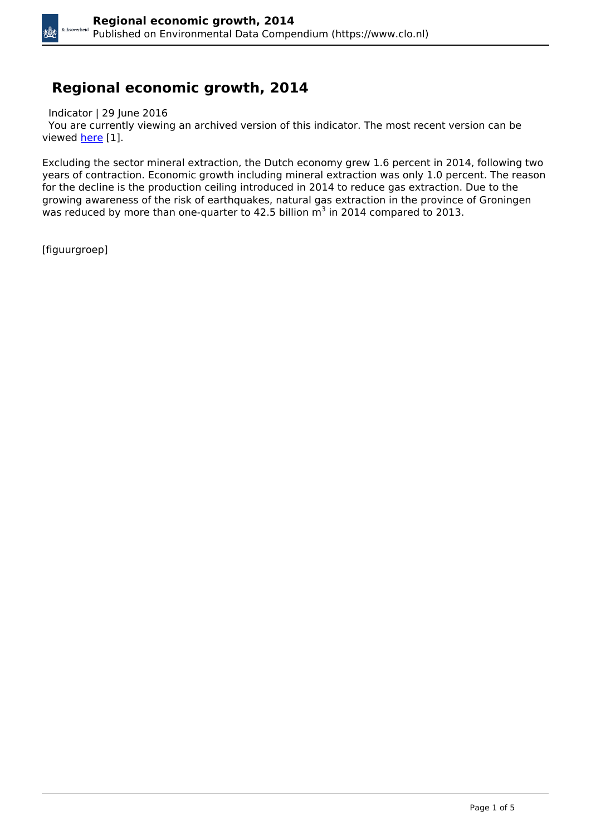## **Regional economic growth, 2014**

Indicator | 29 June 2016

 You are currently viewing an archived version of this indicator. The most recent version can be viewed [here](https://www.clo.nl/en/indicatoren/en2065) [1].

Excluding the sector mineral extraction, the Dutch economy grew 1.6 percent in 2014, following two years of contraction. Economic growth including mineral extraction was only 1.0 percent. The reason for the decline is the production ceiling introduced in 2014 to reduce gas extraction. Due to the growing awareness of the risk of earthquakes, natural gas extraction in the province of Groningen was reduced by more than one-quarter to 42.5 billion  $m^3$  in 2014 compared to 2013.

[figuurgroep]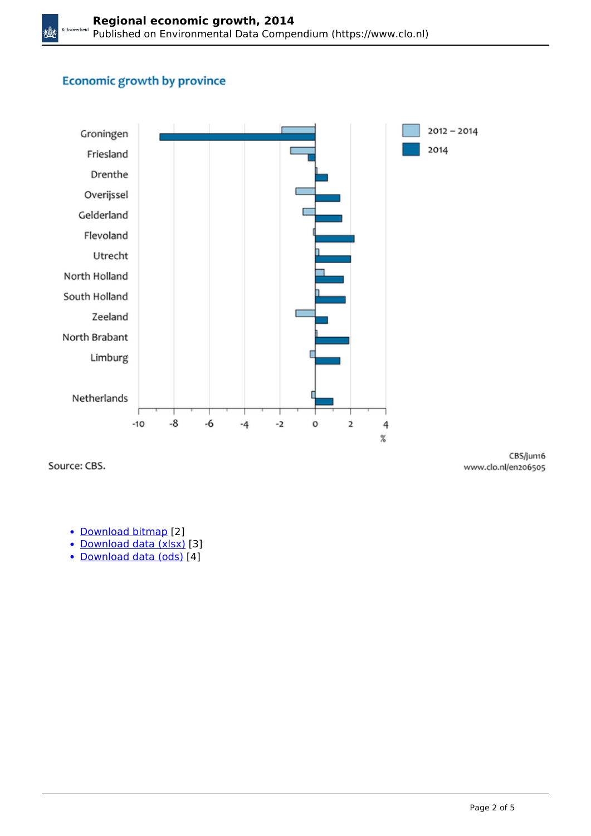# **Economic growth by province**



Source: CBS.

CBS/jun16 www.clo.nl/en206505

- [Download bitmap](https://www.clo.nl/sites/default/files/infographics/2065_002g_clo_05_en.png) [2]
- [Download data \(xlsx\)](https://www.clo.nl/sites/default/files/datasets/c-2065-002g-clo-05-en.xlsx) [3]
- [Download data \(ods\)](https://www.clo.nl/sites/default/files/datasets/c-2065-002g-clo-05-en.ods) [4]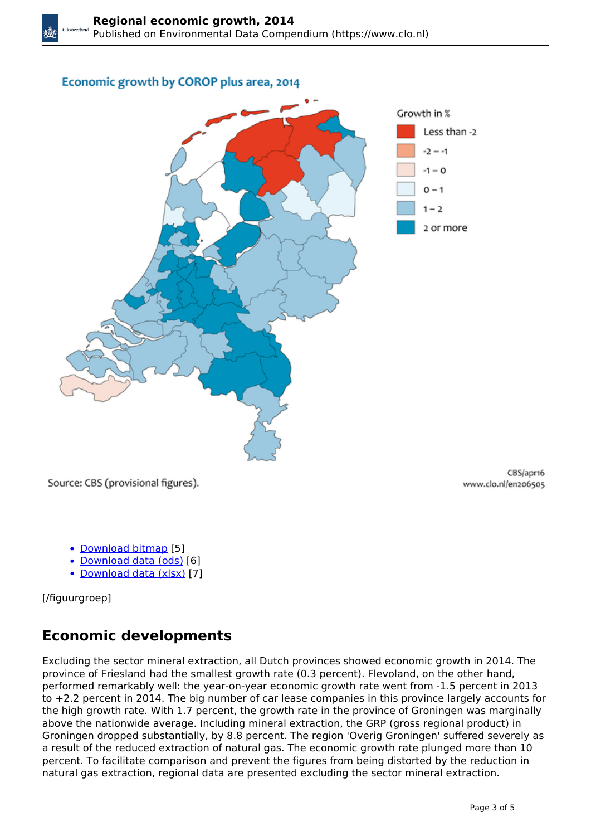#### Economic growth by COROP plus area, 2014



Source: CBS (provisional figures).

CBS/apr16 www.clo.nl/en206505

- [Download bitmap](https://www.clo.nl/sites/default/files/infographics/2065_001k_clo_05_en.png) [5]
- [Download data \(ods\)](https://www.clo.nl/sites/default/files/datasets/c-2065-001k-clo-05-en.ods) [6]
- [Download data \(xlsx\)](https://www.clo.nl/sites/default/files/datasets/c-2065-001k-clo-05-en.xlsx) [7]

[/figuurgroep]

# **Economic developments**

Excluding the sector mineral extraction, all Dutch provinces showed economic growth in 2014. The province of Friesland had the smallest growth rate (0.3 percent). Flevoland, on the other hand, performed remarkably well: the year-on-year economic growth rate went from -1.5 percent in 2013 to +2.2 percent in 2014. The big number of car lease companies in this province largely accounts for the high growth rate. With 1.7 percent, the growth rate in the province of Groningen was marginally above the nationwide average. Including mineral extraction, the GRP (gross regional product) in Groningen dropped substantially, by 8.8 percent. The region 'Overig Groningen' suffered severely as a result of the reduced extraction of natural gas. The economic growth rate plunged more than 10 percent. To facilitate comparison and prevent the figures from being distorted by the reduction in natural gas extraction, regional data are presented excluding the sector mineral extraction.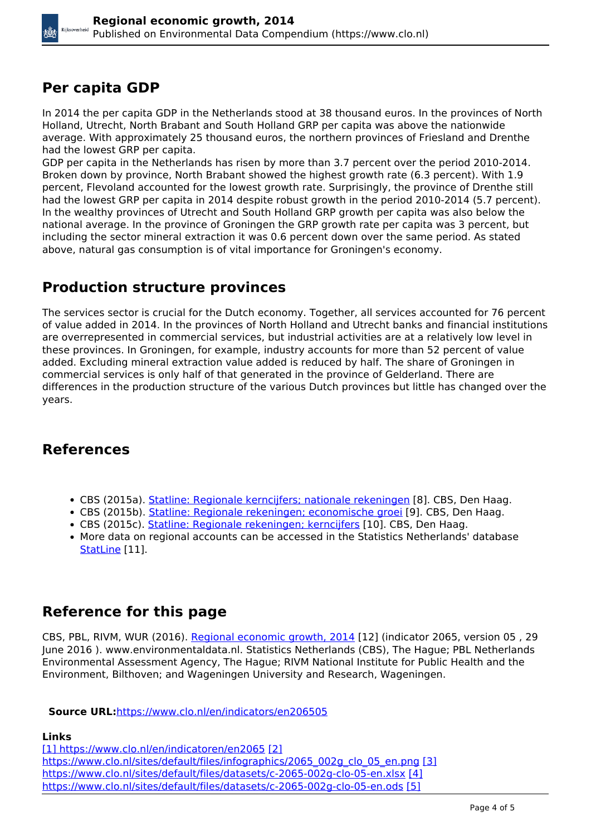## **Per capita GDP**

In 2014 the per capita GDP in the Netherlands stood at 38 thousand euros. In the provinces of North Holland, Utrecht, North Brabant and South Holland GRP per capita was above the nationwide average. With approximately 25 thousand euros, the northern provinces of Friesland and Drenthe had the lowest GRP per capita.

GDP per capita in the Netherlands has risen by more than 3.7 percent over the period 2010-2014. Broken down by province, North Brabant showed the highest growth rate (6.3 percent). With 1.9 percent, Flevoland accounted for the lowest growth rate. Surprisingly, the province of Drenthe still had the lowest GRP per capita in 2014 despite robust growth in the period 2010-2014 (5.7 percent). In the wealthy provinces of Utrecht and South Holland GRP growth per capita was also below the national average. In the province of Groningen the GRP growth rate per capita was 3 percent, but including the sector mineral extraction it was 0.6 percent down over the same period. As stated above, natural gas consumption is of vital importance for Groningen's economy.

### **Production structure provinces**

The services sector is crucial for the Dutch economy. Together, all services accounted for 76 percent of value added in 2014. In the provinces of North Holland and Utrecht banks and financial institutions are overrepresented in commercial services, but industrial activities are at a relatively low level in these provinces. In Groningen, for example, industry accounts for more than 52 percent of value added. Excluding mineral extraction value added is reduced by half. The share of Groningen in commercial services is only half of that generated in the province of Gelderland. There are differences in the production structure of the various Dutch provinces but little has changed over the years.

# **References**

- CBS (2015a). [Statline: Regionale kerncijfers; nationale rekeningen](http://statline.cbs.nl/Statweb/publication/?DM=SLNL&PA=82801NED&D1=a&D2=0,6-17&D3=a&HDR=T&STB=G1,G2&VW=T.) [8]. CBS, Den Haag.
- CBS (2015b). [Statline: Regionale rekeningen; economische groei](http://statline.cbs.nl/StatWeb/publication/?DM=SLNL&PA=81356NED&D1=0&D2=0,58-76&D3=l&VW=T) [9]. CBS, Den Haag.
- CBS (2015c). [Statline: Regionale rekeningen; kerncijfers](http://statline.cbs.nl/StatWeb/publication/?DM=SLNL&PA=71541NED&D1=a&D2=0,18-57&D3=l&HDR=T&STB=G1,G2&VW=T) [10]. CBS, Den Haag.
- More data on regional accounts can be accessed in the Statistics Netherlands' database [StatLine](http://statline.cbs.nl/) [11].

# **Reference for this page**

CBS, PBL, RIVM, WUR (2016). [Regional economic growth, 2014](https://www.clo.nl/indicatoren/en206505) [12] (indicator 2065, version 05 , 29 June 2016 ). www.environmentaldata.nl. Statistics Netherlands (CBS), The Hague; PBL Netherlands Environmental Assessment Agency, The Hague; RIVM National Institute for Public Health and the Environment, Bilthoven; and Wageningen University and Research, Wageningen.

#### **Source URL:**<https://www.clo.nl/en/indicators/en206505>

#### **Links**

[\[1\] https://www.clo.nl/en/indicatoren/en2065](https://www.clo.nl/en/indicatoren/en2065) [\[2\]](https://www.clo.nl/sites/default/files/infographics/2065_002g_clo_05_en.png) [https://www.clo.nl/sites/default/files/infographics/2065\\_002g\\_clo\\_05\\_en.png](https://www.clo.nl/sites/default/files/infographics/2065_002g_clo_05_en.png) [\[3\]](https://www.clo.nl/sites/default/files/datasets/c-2065-002g-clo-05-en.xlsx) <https://www.clo.nl/sites/default/files/datasets/c-2065-002g-clo-05-en.xlsx> [\[4\]](https://www.clo.nl/sites/default/files/datasets/c-2065-002g-clo-05-en.ods) <https://www.clo.nl/sites/default/files/datasets/c-2065-002g-clo-05-en.ods> [\[5\]](https://www.clo.nl/sites/default/files/infographics/2065_001k_clo_05_en.png)